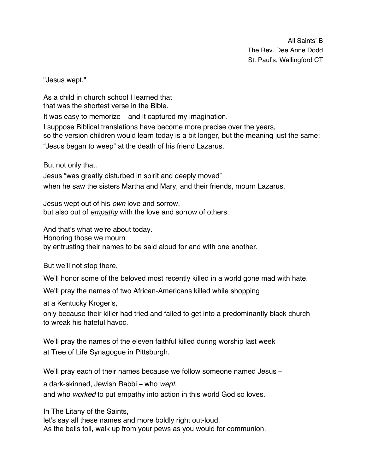All Saints' B The Rev. Dee Anne Dodd St. Paul's, Wallingford CT

"Jesus wept."

As a child in church school I learned that that was the shortest verse in the Bible.

It was easy to memorize – and it captured my imagination.

I suppose Biblical translations have become more precise over the years, so the version children would learn today is a bit longer, but the meaning just the same: "Jesus began to weep" at the death of his friend Lazarus.

But not only that.

Jesus "was greatly disturbed in spirit and deeply moved" when he saw the sisters Martha and Mary, and their friends, mourn Lazarus.

Jesus wept out of his *own* love and sorrow, but also out of *empathy* with the love and sorrow of others.

And that's what we're about today. Honoring those we mourn by entrusting their names to be said aloud for and with one another.

But we'll not stop there.

We'll honor some of the beloved most recently killed in a world gone mad with hate.

We'll pray the names of two African-Americans killed while shopping

at a Kentucky Kroger's,

only because their killer had tried and failed to get into a predominantly black church to wreak his hateful havoc.

We'll pray the names of the eleven faithful killed during worship last week at Tree of Life Synagogue in Pittsburgh.

We'll pray each of their names because we follow someone named Jesus –

a dark-skinned, Jewish Rabbi – who *wept,*

and who *worked* to put empathy into action in this world God so loves.

In The Litany of the Saints,

let's say all these names and more boldly right out-loud. As the bells toll, walk up from your pews as you would for communion.